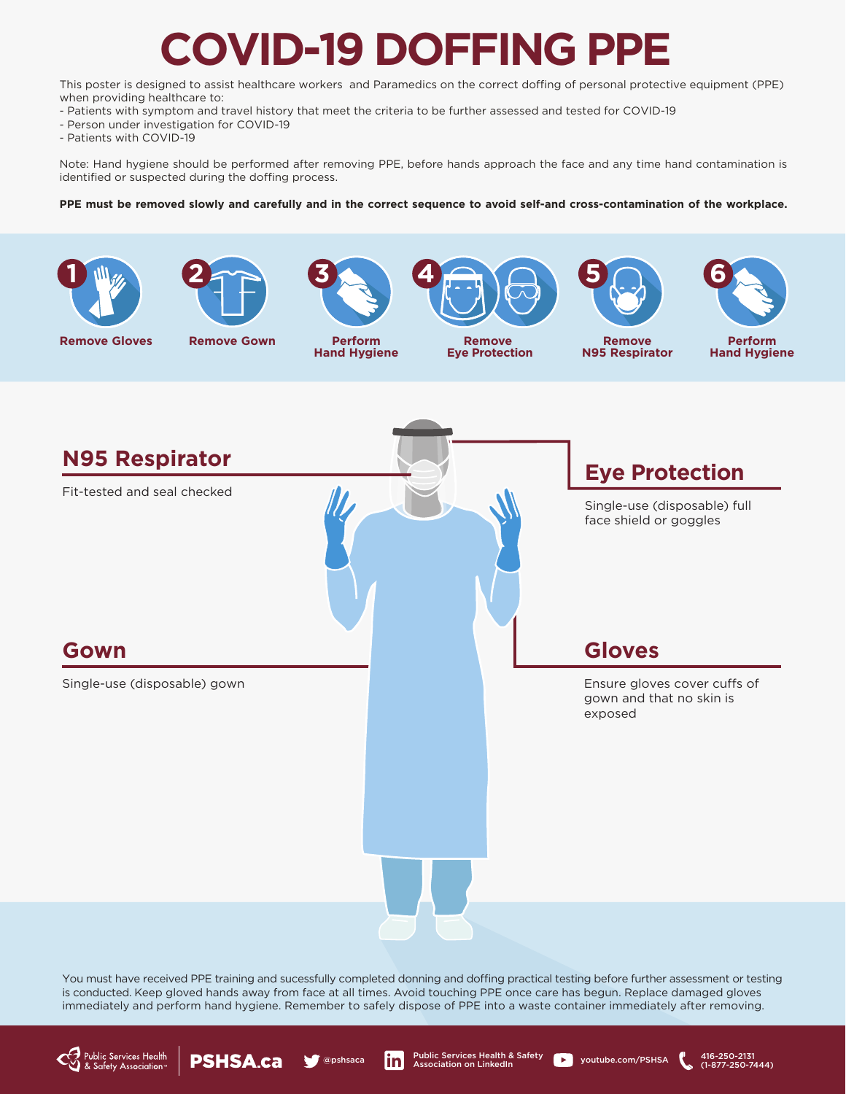# **COVID-19 DOFFING PPE**

This poster is designed to assist healthcare workers and Paramedics on the correct doffing of personal protective equipment (PPE) when providing healthcare to:

- Patients with symptom and travel history that meet the criteria to be further assessed and tested for COVID-19
- Person under investigation for COVID-19
- Patients with COVID-19

Note: Hand hygiene should be performed after removing PPE, before hands approach the face and any time hand contamination is identified or suspected during the doffing process.

#### PPE must be removed slowly and carefully and in the correct sequence to avoid self-and cross-contamination of the workplace.









**3**

**Perform Hand Hygiene**



**Remove Eye Protection**



**Remove N95 Respirator**



**Perform Hand Hygiene**

(1-877-250-7444)



You must have received PPE training and sucessfully completed donning and doffing practical testing before further assessment or testing is conducted. Keep gloved hands away from face at all times. Avoid touching PPE once care has begun. Replace damaged gloves immediately and perform hand hygiene. Remember to safely dispose of PPE into a waste container immediately after removing.